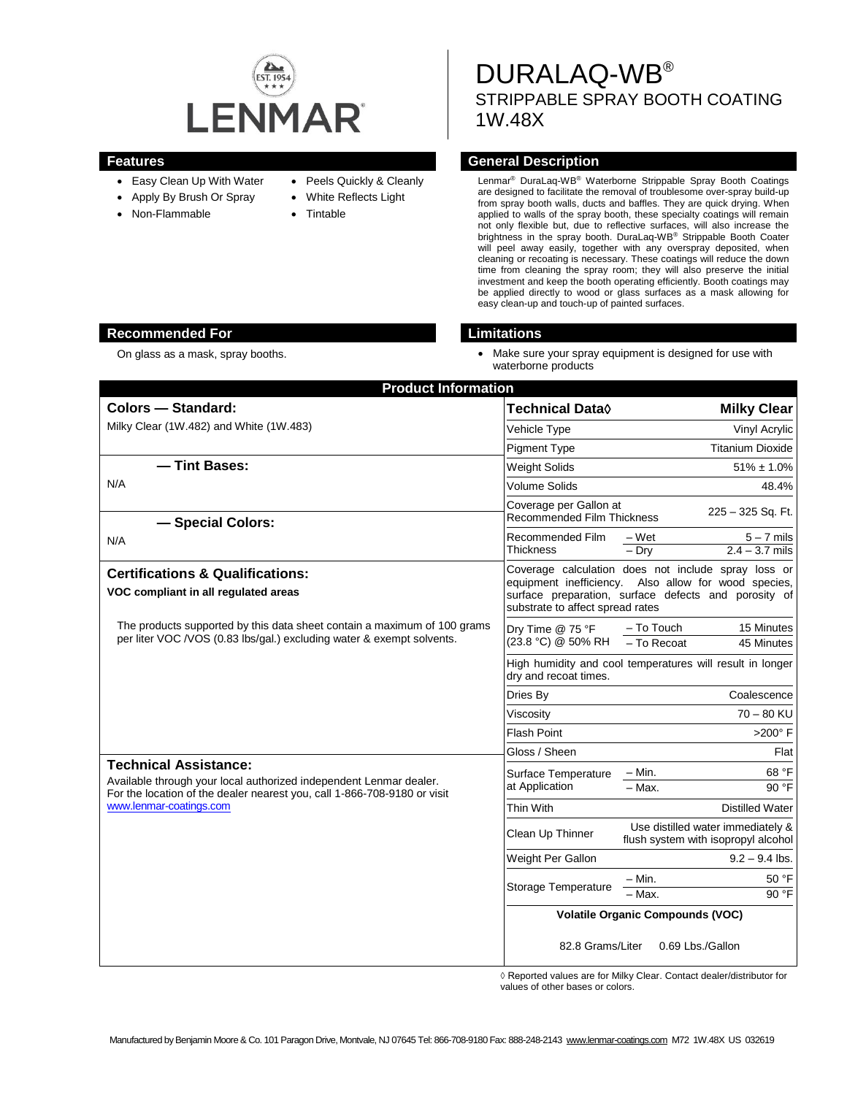

- Easy Clean Up With Water
- Apply By Brush Or Spray
- Non-Flammable
- Peels Quickly & Cleanly
- White Reflects Light
- Tintable

DURALAQ-WB® STRIPPABLE SPRAY BOOTH COATING 1W.48X

# **Features Features General Description**

Lenmar® DuraLaq-WB® Waterborne Strippable Spray Booth Coatings are designed to facilitate the removal of troublesome over-spray build-up from spray booth walls, ducts and baffles. They are quick drying. When applied to walls of the spray booth, these specialty coatings will remain not only flexible but, due to reflective surfaces, will also increase the brightness in the spray booth. DuraLaq-WB® Strippable Booth Coater will peel away easily, together with any overspray deposited, when cleaning or recoating is necessary. These coatings will reduce the down time from cleaning the spray room; they will also preserve the initial investment and keep the booth operating efficiently. Booth coatings may be applied directly to wood or glass surfaces as a mask allowing for easy clean-up and touch-up of painted surfaces.

# **Recommended For Limitations**

- 
- On glass as a mask, spray booths. The match of the match of the Make sure your spray equipment is designed for use with waterborne products

| <b>Product Information</b>                                                                                                                        |                                                                                                                                                                                                         |                                                                          |
|---------------------------------------------------------------------------------------------------------------------------------------------------|---------------------------------------------------------------------------------------------------------------------------------------------------------------------------------------------------------|--------------------------------------------------------------------------|
| Colors - Standard:                                                                                                                                | Technical Data <b>◊</b>                                                                                                                                                                                 | <b>Milky Clear</b>                                                       |
| Milky Clear (1W.482) and White (1W.483)                                                                                                           | <b>Vehicle Type</b>                                                                                                                                                                                     | Vinyl Acrylic                                                            |
|                                                                                                                                                   | <b>Pigment Type</b>                                                                                                                                                                                     | <b>Titanium Dioxide</b>                                                  |
| - Tint Bases:                                                                                                                                     | <b>Weight Solids</b>                                                                                                                                                                                    | $51\% \pm 1.0\%$                                                         |
| N/A                                                                                                                                               | Volume Solids                                                                                                                                                                                           | 48.4%                                                                    |
| - Special Colors:                                                                                                                                 | Coverage per Gallon at<br><b>Recommended Film Thickness</b>                                                                                                                                             | 225 - 325 Sq. Ft.                                                        |
| N/A                                                                                                                                               | Recommended Film<br><b>Thickness</b>                                                                                                                                                                    | $5 - 7$ mils<br>$-Wet$<br>$2.4 - 3.7$ mils<br>$-$ Dry                    |
| <b>Certifications &amp; Qualifications:</b><br>VOC compliant in all regulated areas                                                               | Coverage calculation does not include spray loss or<br>equipment inefficiency. Also allow for wood species,<br>surface preparation, surface defects and porosity of<br>substrate to affect spread rates |                                                                          |
| The products supported by this data sheet contain a maximum of 100 grams<br>per liter VOC /VOS (0.83 lbs/gal.) excluding water & exempt solvents. | Drv Time @ 75 °F<br>(23.8 °C) @ 50% RH                                                                                                                                                                  | - To Touch<br>15 Minutes<br>- To Recoat<br>45 Minutes                    |
|                                                                                                                                                   | High humidity and cool temperatures will result in longer<br>dry and recoat times.                                                                                                                      |                                                                          |
|                                                                                                                                                   | Dries By                                                                                                                                                                                                | Coalescence                                                              |
|                                                                                                                                                   | Viscositv                                                                                                                                                                                               | $70 - 80$ KU                                                             |
|                                                                                                                                                   | <b>Flash Point</b>                                                                                                                                                                                      | $>200^\circ$ F                                                           |
|                                                                                                                                                   | Gloss / Sheen                                                                                                                                                                                           | Flat                                                                     |
| <b>Technical Assistance:</b><br>Available through your local authorized independent Lenmar dealer.                                                | Surface Temperature<br>at Application                                                                                                                                                                   | 68 °F<br>$-$ Min.                                                        |
| For the location of the dealer nearest you, call 1-866-708-9180 or visit<br>www.lenmar-coatings.com                                               |                                                                                                                                                                                                         | $-$ Max.<br>90 °F                                                        |
|                                                                                                                                                   | Thin With                                                                                                                                                                                               | <b>Distilled Water</b>                                                   |
|                                                                                                                                                   | Clean Up Thinner                                                                                                                                                                                        | Use distilled water immediately &<br>flush system with isopropyl alcohol |
|                                                                                                                                                   | Weight Per Gallon                                                                                                                                                                                       | $9.2 - 9.4$ lbs.                                                         |
|                                                                                                                                                   | Storage Temperature                                                                                                                                                                                     | – Min.<br>50 °F                                                          |
|                                                                                                                                                   |                                                                                                                                                                                                         | 90 °F<br>- Max.                                                          |
|                                                                                                                                                   | <b>Volatile Organic Compounds (VOC)</b>                                                                                                                                                                 |                                                                          |
|                                                                                                                                                   | 82.8 Grams/Liter<br>0.69 Lbs./Gallon                                                                                                                                                                    |                                                                          |

◊ Reported values are for Milky Clear. Contact dealer/distributor for values of other bases or colors.